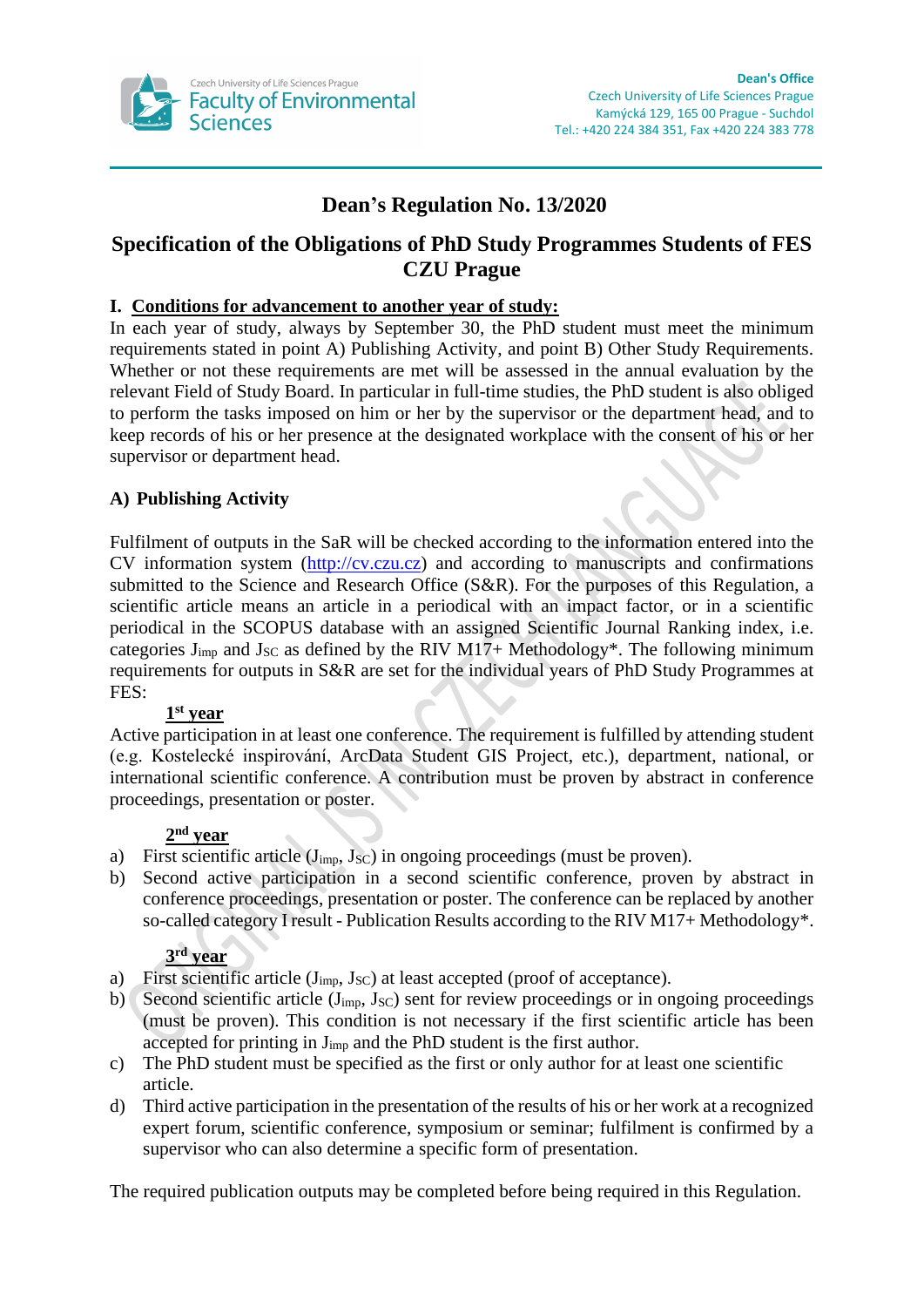

# **Dean's Regulation No. 13/2020**

# **Specification of the Obligations of PhD Study Programmes Students of FES CZU Prague**

#### **I. Conditions for advancement to another year of study:**

In each year of study, always by September 30, the PhD student must meet the minimum requirements stated in point A) Publishing Activity, and point B) Other Study Requirements. Whether or not these requirements are met will be assessed in the annual evaluation by the relevant Field of Study Board. In particular in full-time studies, the PhD student is also obliged to perform the tasks imposed on him or her by the supervisor or the department head, and to keep records of his or her presence at the designated workplace with the consent of his or her supervisor or department head.

# **A) Publishing Activity**

Fulfilment of outputs in the SaR will be checked according to the information entered into the CV information system [\(http://cv.czu.cz\)](http://cv.czu.cz/) and according to manuscripts and confirmations submitted to the Science and Research Office (S&R). For the purposes of this Regulation, a scientific article means an article in a periodical with an impact factor, or in a scientific periodical in the SCOPUS database with an assigned Scientific Journal Ranking index, i.e. categories  $J_{imp}$  and  $J_{SC}$  as defined by the RIV M17+ Methodology\*. The following minimum requirements for outputs in S&R are set for the individual years of PhD Study Programmes at FES:

# **1 st year**

Active participation in at least one conference. The requirement is fulfilled by attending student (e.g. Kostelecké inspirování, ArcData Student GIS Project, etc.), department, national, or international scientific conference. A contribution must be proven by abstract in conference proceedings, presentation or poster.

# **2 nd year**

- a) First scientific article  $(J<sub>imp</sub>, J<sub>SC</sub>)$  in ongoing proceedings (must be proven).
- b) Second active participation in a second scientific conference, proven by abstract in conference proceedings, presentation or poster. The conference can be replaced by another so-called category I result - Publication Results according to the RIV M17+ Methodology\*.

#### **3 rd year**

- a) First scientific article  $(J_{\text{imp}}, J_{\text{SC}})$  at least accepted (proof of acceptance).
- b) Second scientific article ( $J_{imp}$ ,  $J_{SC}$ ) sent for review proceedings or in ongoing proceedings (must be proven). This condition is not necessary if the first scientific article has been accepted for printing in Jimp and the PhD student is the first author.
- c) The PhD student must be specified as the first or only author for at least one scientific article.
- d) Third active participation in the presentation of the results of his or her work at a recognized expert forum, scientific conference, symposium or seminar; fulfilment is confirmed by a supervisor who can also determine a specific form of presentation.

The required publication outputs may be completed before being required in this Regulation.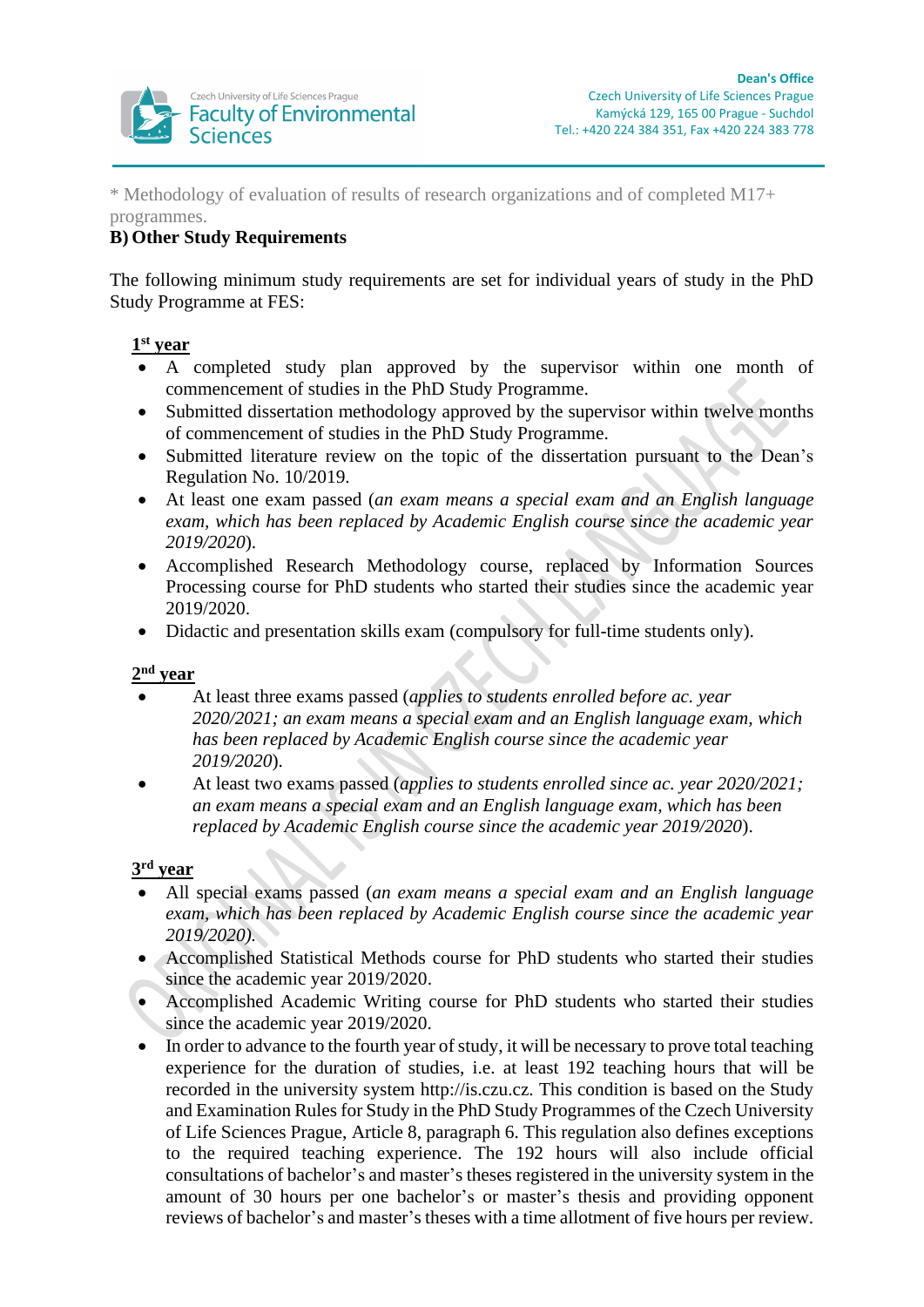

\* Methodology of evaluation of results of research organizations and of completed M17+ programmes.

# **B) Other Study Requirements**

The following minimum study requirements are set for individual years of study in the PhD Study Programme at FES:

#### **1 st year**

- A completed study plan approved by the supervisor within one month of commencement of studies in the PhD Study Programme.
- Submitted dissertation methodology approved by the supervisor within twelve months of commencement of studies in the PhD Study Programme.
- Submitted literature review on the topic of the dissertation pursuant to the Dean's Regulation No. 10/2019.
- At least one exam passed (*an exam means a special exam and an English language exam, which has been replaced by Academic English course since the academic year 2019/2020*).
- Accomplished Research Methodology course, replaced by Information Sources Processing course for PhD students who started their studies since the academic year 2019/2020.
- Didactic and presentation skills exam (compulsory for full-time students only).

#### **2 nd year**

- At least three exams passed (*applies to students enrolled before ac. year 2020/2021; an exam means a special exam and an English language exam, which has been replaced by Academic English course since the academic year 2019/2020*).
- At least two exams passed (*applies to students enrolled since ac. year 2020/2021; an exam means a special exam and an English language exam, which has been replaced by Academic English course since the academic year 2019/2020*).

#### **3 rd year**

- All special exams passed (*an exam means a special exam and an English language exam, which has been replaced by Academic English course since the academic year 2019/2020).*
- Accomplished Statistical Methods course for PhD students who started their studies since the academic year 2019/2020.
- Accomplished Academic Writing course for PhD students who started their studies since the academic year 2019/2020.
- In order to advance to the fourth year of study, it will be necessary to prove total teaching experience for the duration of studies, i.e. at least 192 teaching hours that will be recorded in the university system http://is.czu.cz. This condition is based on the Study and Examination Rules for Study in the PhD Study Programmes of the Czech University of Life Sciences Prague, Article 8, paragraph 6. This regulation also defines exceptions to the required teaching experience. The 192 hours will also include official consultations of bachelor's and master's theses registered in the university system in the amount of 30 hours per one bachelor's or master's thesis and providing opponent reviews of bachelor's and master's theses with a time allotment of five hours per review.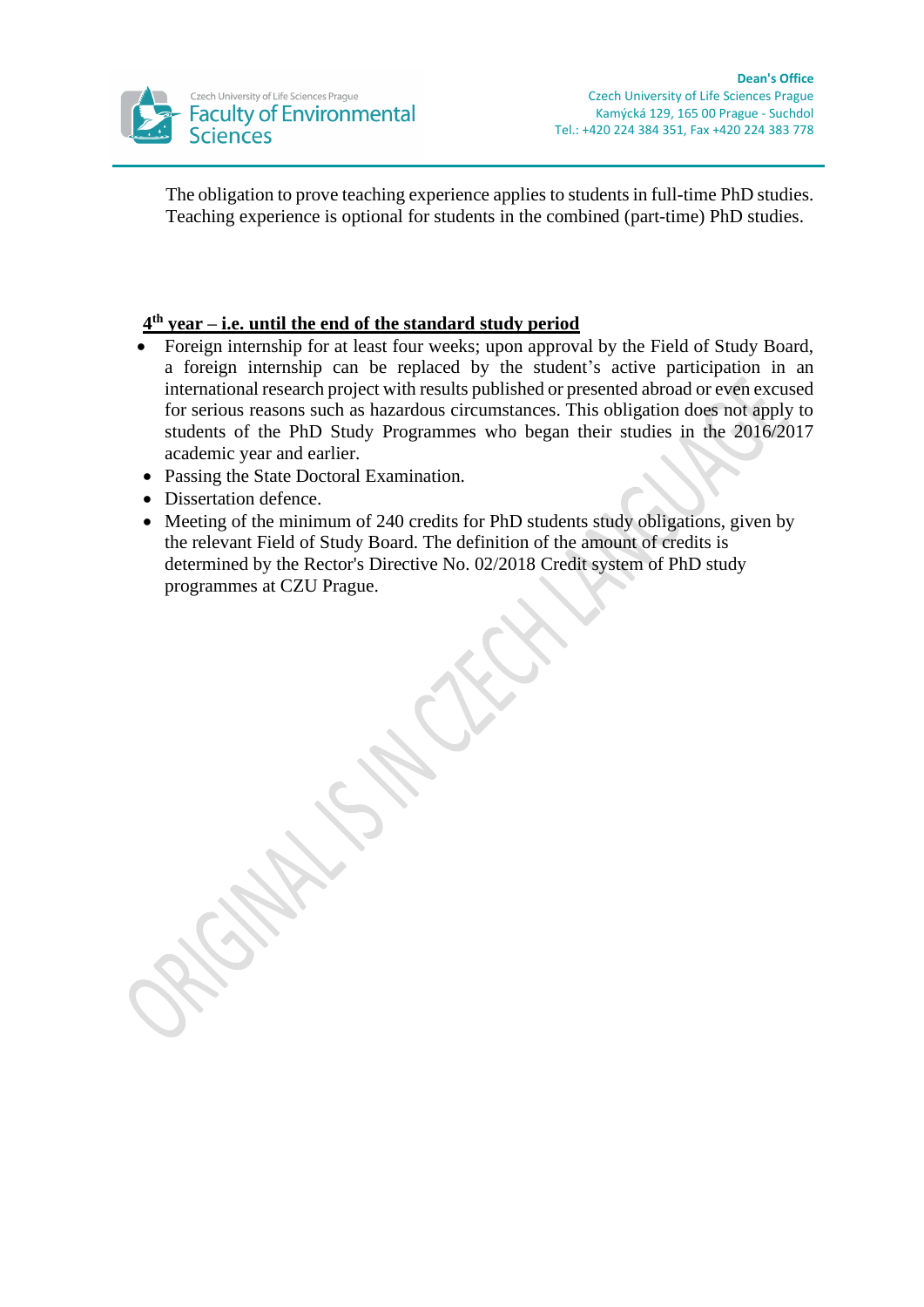

The obligation to prove teaching experience applies to students in full-time PhD studies. Teaching experience is optional for students in the combined (part-time) PhD studies.

#### **4 th year – i.e. until the end of the standard study period**

- Foreign internship for at least four weeks; upon approval by the Field of Study Board, a foreign internship can be replaced by the student's active participation in an international research project with results published or presented abroad or even excused for serious reasons such as hazardous circumstances. This obligation does not apply to students of the PhD Study Programmes who began their studies in the 2016/2017 academic year and earlier.
- Passing the State Doctoral Examination.
- Dissertation defence.
- Meeting of the minimum of 240 credits for PhD students study obligations, given by the relevant Field of Study Board. The definition of the amount of credits is determined by the Rector's Directive No. 02/2018 Credit system of PhD study programmes at CZU Prague.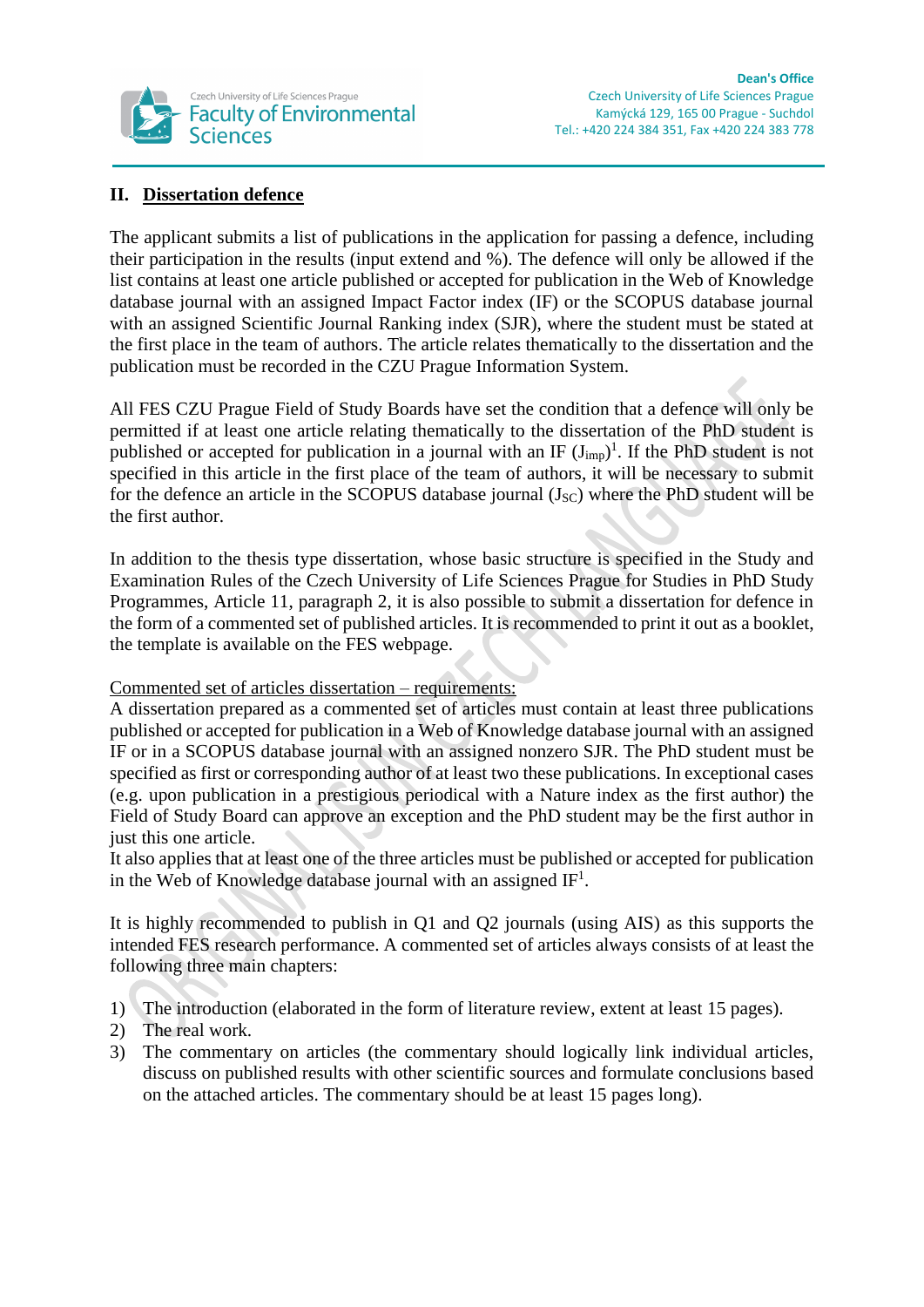

# **II. Dissertation defence**

The applicant submits a list of publications in the application for passing a defence, including their participation in the results (input extend and %). The defence will only be allowed if the list contains at least one article published or accepted for publication in the Web of Knowledge database journal with an assigned Impact Factor index (IF) or the SCOPUS database journal with an assigned Scientific Journal Ranking index (SJR), where the student must be stated at the first place in the team of authors. The article relates thematically to the dissertation and the publication must be recorded in the CZU Prague Information System.

All FES CZU Prague Field of Study Boards have set the condition that a defence will only be permitted if at least one article relating thematically to the dissertation of the PhD student is published or accepted for publication in a journal with an IF  $(J_{imp})^1$ . If the PhD student is not specified in this article in the first place of the team of authors, it will be necessary to submit for the defence an article in the SCOPUS database journal  $(J<sub>SC</sub>)$  where the PhD student will be the first author.

In addition to the thesis type dissertation, whose basic structure is specified in the Study and Examination Rules of the Czech University of Life Sciences Prague for Studies in PhD Study Programmes, Article 11, paragraph 2, it is also possible to submit a dissertation for defence in the form of a commented set of published articles. It is recommended to print it out as a booklet, the template is available on the FES webpage.

#### Commented set of articles dissertation – requirements:

A dissertation prepared as a commented set of articles must contain at least three publications published or accepted for publication in a Web of Knowledge database journal with an assigned IF or in a SCOPUS database journal with an assigned nonzero SJR. The PhD student must be specified as first or corresponding author of at least two these publications. In exceptional cases (e.g. upon publication in a prestigious periodical with a Nature index as the first author) the Field of Study Board can approve an exception and the PhD student may be the first author in just this one article.

It also applies that at least one of the three articles must be published or accepted for publication in the Web of Knowledge database journal with an assigned  $IF<sup>1</sup>$ .

It is highly recommended to publish in Q1 and Q2 journals (using AIS) as this supports the intended FES research performance. A commented set of articles always consists of at least the following three main chapters:

- 1) The introduction (elaborated in the form of literature review, extent at least 15 pages).
- 2) The real work.
- 3) The commentary on articles (the commentary should logically link individual articles, discuss on published results with other scientific sources and formulate conclusions based on the attached articles. The commentary should be at least 15 pages long).